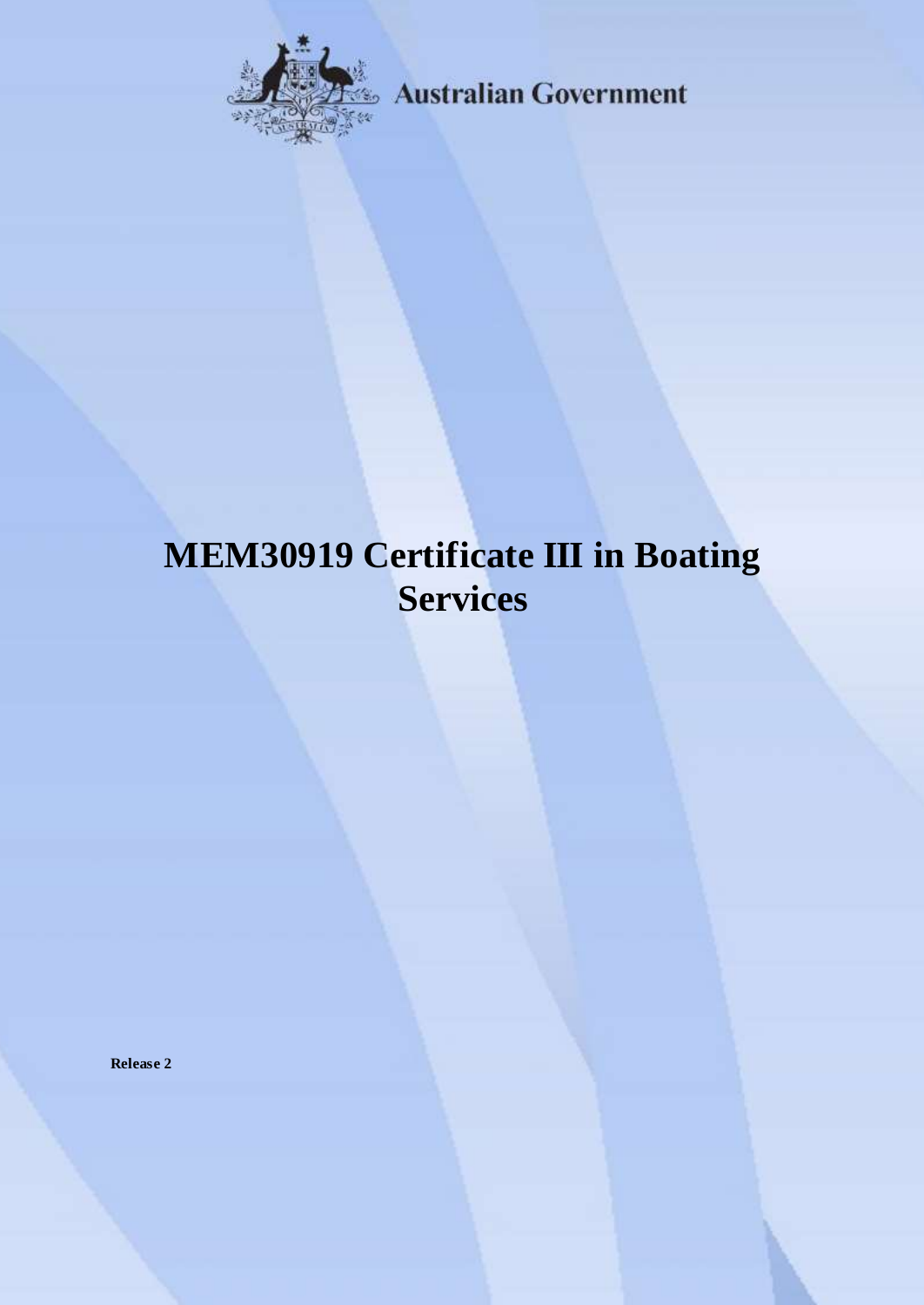

**Australian Government** 

# **MEM30919 Certificate III in Boating Services**

**Release 2**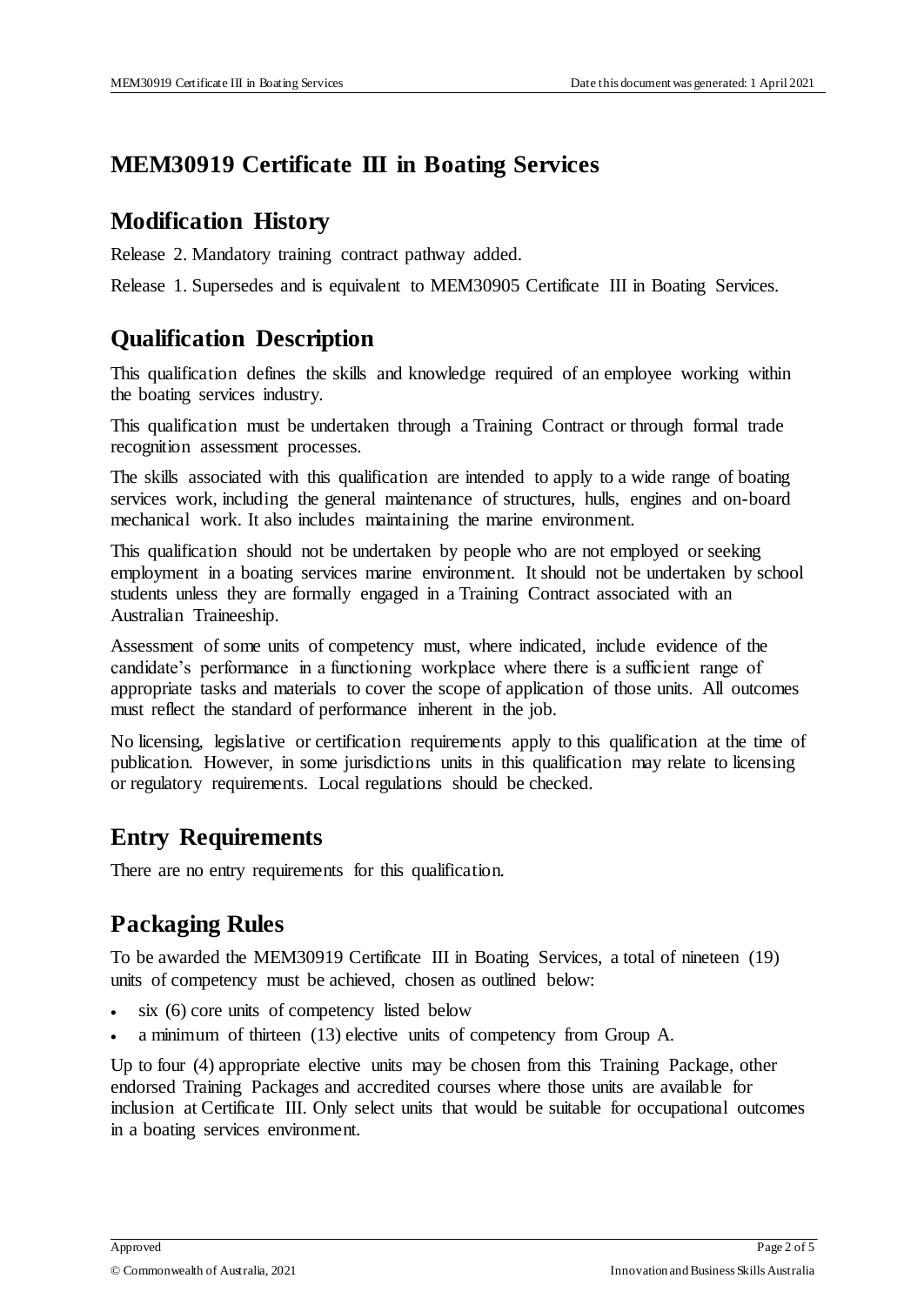## **MEM30919 Certificate III in Boating Services**

### **Modification History**

Release 2. Mandatory training contract pathway added.

Release 1. Supersedes and is equivalent to MEM30905 Certificate III in Boating Services.

# **Qualification Description**

This qualification defines the skills and knowledge required of an employee working within the boating services industry.

This qualification must be undertaken through a Training Contract or through formal trade recognition assessment processes.

The skills associated with this qualification are intended to apply to a wide range of boating services work, including the general maintenance of structures, hulls, engines and on-board mechanical work. It also includes maintaining the marine environment.

This qualification should not be undertaken by people who are not employed or seeking employment in a boating services marine environment. It should not be undertaken by school students unless they are formally engaged in a Training Contract associated with an Australian Traineeship.

Assessment of some units of competency must, where indicated, include evidence of the candidate's performance in a functioning workplace where there is a sufficient range of appropriate tasks and materials to cover the scope of application of those units. All outcomes must reflect the standard of performance inherent in the job.

No licensing, legislative or certification requirements apply to this qualification at the time of publication. However, in some jurisdictions units in this qualification may relate to licensing or regulatory requirements. Local regulations should be checked.

# **Entry Requirements**

There are no entry requirements for this qualification.

# **Packaging Rules**

To be awarded the MEM30919 Certificate III in Boating Services, a total of nineteen (19) units of competency must be achieved, chosen as outlined below:

- six (6) core units of competency listed below
- a minimum of thirteen (13) elective units of competency from Group A.

Up to four (4) appropriate elective units may be chosen from this Training Package, other endorsed Training Packages and accredited courses where those units are available for inclusion at Certificate III. Only select units that would be suitable for occupational outcomes in a boating services environment.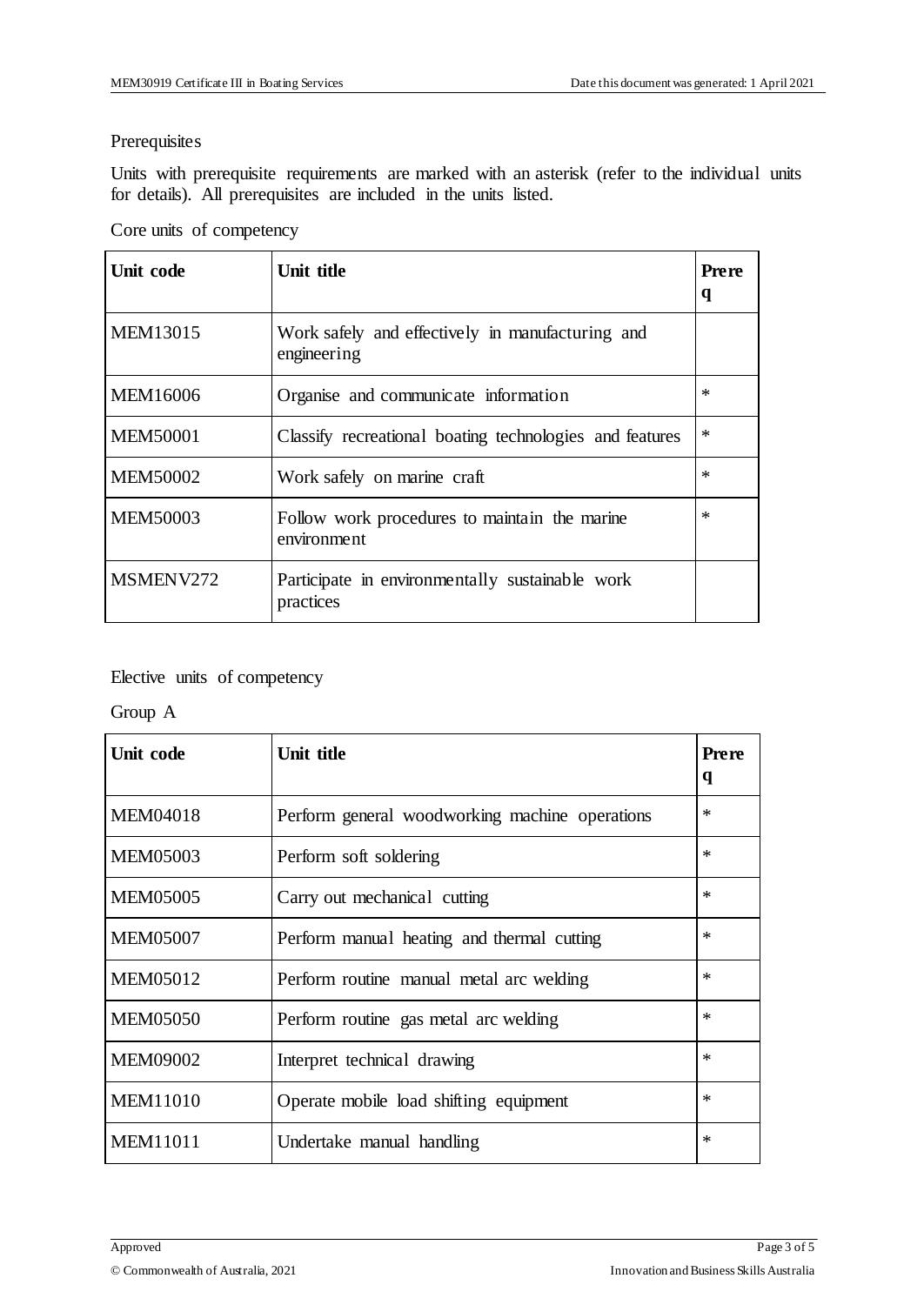#### Prerequisites

Units with prerequisite requirements are marked with an asterisk (refer to the individual units for details). All prerequisites are included in the units listed.

|  | Core units of competency |
|--|--------------------------|
|--|--------------------------|

| Unit code       | Unit title                                                      | Prere<br>q |
|-----------------|-----------------------------------------------------------------|------------|
| <b>MEM13015</b> | Work safely and effectively in manufacturing and<br>engineering |            |
| <b>MEM16006</b> | Organise and communicate information                            | $\ast$     |
| <b>MEM50001</b> | Classify recreational boating technologies and features         | $\ast$     |
| <b>MEM50002</b> | Work safely on marine craft                                     | $\ast$     |
| <b>MEM50003</b> | Follow work procedures to maintain the marine<br>environment    | $\ast$     |
| MSMENV272       | Participate in environmentally sustainable work<br>practices    |            |

#### Elective units of competency

Group A

| Unit code       | Unit title                                     | <b>Prere</b><br>q |
|-----------------|------------------------------------------------|-------------------|
| <b>MEM04018</b> | Perform general woodworking machine operations | $\ast$            |
| <b>MEM05003</b> | Perform soft soldering                         | $\ast$            |
| <b>MEM05005</b> | Carry out mechanical cutting                   | $\ast$            |
| <b>MEM05007</b> | Perform manual heating and thermal cutting     | $\ast$            |
| <b>MEM05012</b> | Perform routine manual metal arc welding       | $\ast$            |
| <b>MEM05050</b> | Perform routine gas metal arc welding          | $\ast$            |
| <b>MEM09002</b> | Interpret technical drawing                    | $\ast$            |
| <b>MEM11010</b> | Operate mobile load shifting equipment         | $\ast$            |
| <b>MEM11011</b> | Undertake manual handling                      | $\ast$            |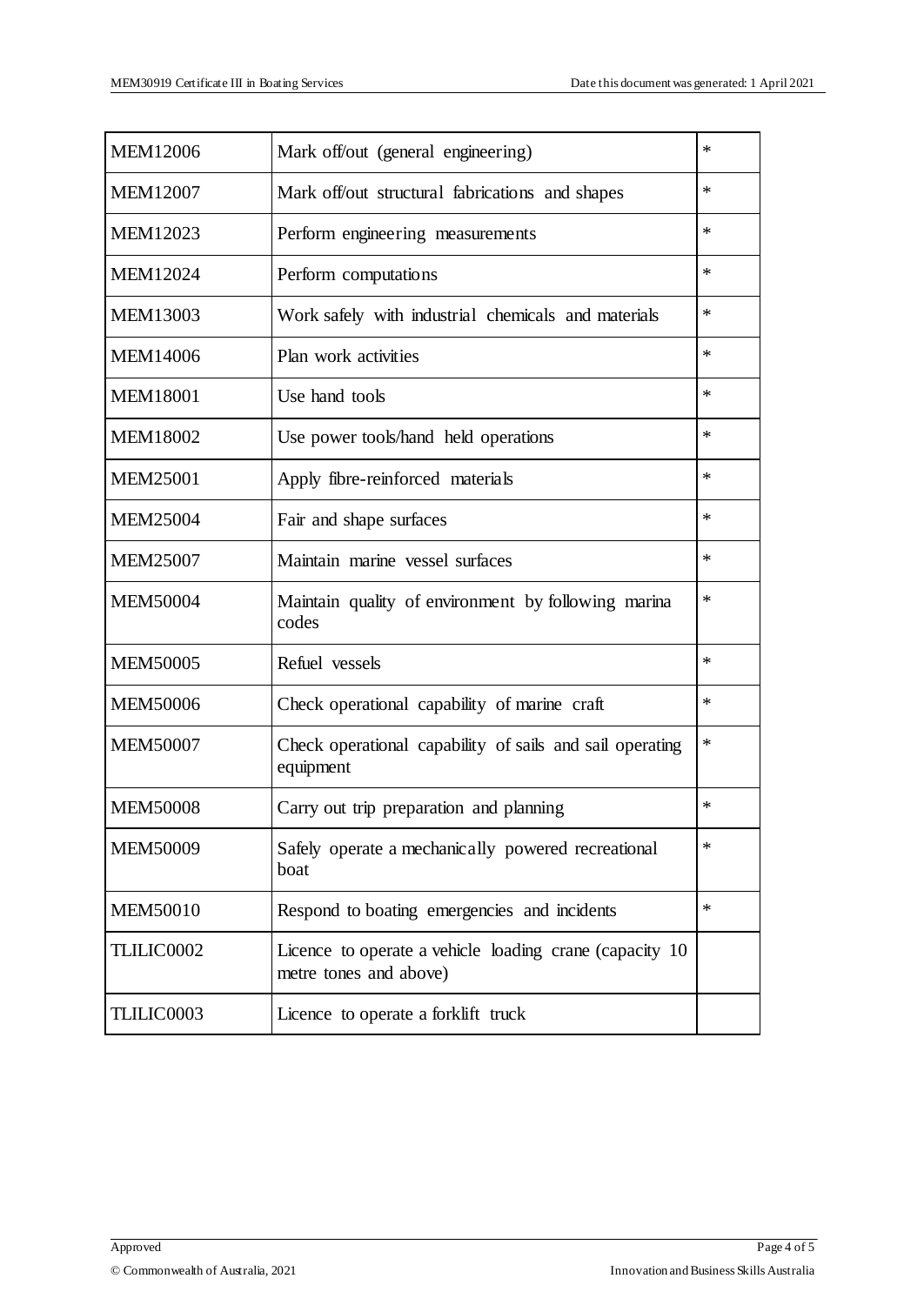| <b>MEM12006</b>   | Mark off/out (general engineering)                                                | *      |
|-------------------|-----------------------------------------------------------------------------------|--------|
| <b>MEM12007</b>   | Mark off/out structural fabrications and shapes                                   | $\ast$ |
| <b>MEM12023</b>   | Perform engineering measurements                                                  | $\ast$ |
| <b>MEM12024</b>   | Perform computations                                                              | $\ast$ |
| <b>MEM13003</b>   | Work safely with industrial chemicals and materials                               | $\ast$ |
| <b>MEM14006</b>   | Plan work activities                                                              | $\ast$ |
| <b>MEM18001</b>   | Use hand tools                                                                    | $\ast$ |
| <b>MEM18002</b>   | Use power tools/hand held operations                                              | $\ast$ |
| <b>MEM25001</b>   | Apply fibre-reinforced materials                                                  | $\ast$ |
| <b>MEM25004</b>   | Fair and shape surfaces                                                           | $\ast$ |
| <b>MEM25007</b>   | Maintain marine vessel surfaces                                                   | $\ast$ |
| <b>MEM50004</b>   | Maintain quality of environment by following marina<br>codes                      | *      |
| <b>MEM50005</b>   | Refuel vessels                                                                    | $\ast$ |
| <b>MEM50006</b>   | Check operational capability of marine craft                                      | *      |
| <b>MEM50007</b>   | Check operational capability of sails and sail operating<br>equipment             | $\ast$ |
| <b>MEM50008</b>   | Carry out trip preparation and planning                                           | $\ast$ |
| <b>MEM50009</b>   | Safely operate a mechanically powered recreational<br>boat                        | $\ast$ |
| <b>MEM50010</b>   | Respond to boating emergencies and incidents                                      | $\ast$ |
| TLILIC0002        | Licence to operate a vehicle loading crane (capacity 10<br>metre tones and above) |        |
| <b>TLILIC0003</b> | Licence to operate a forklift truck                                               |        |